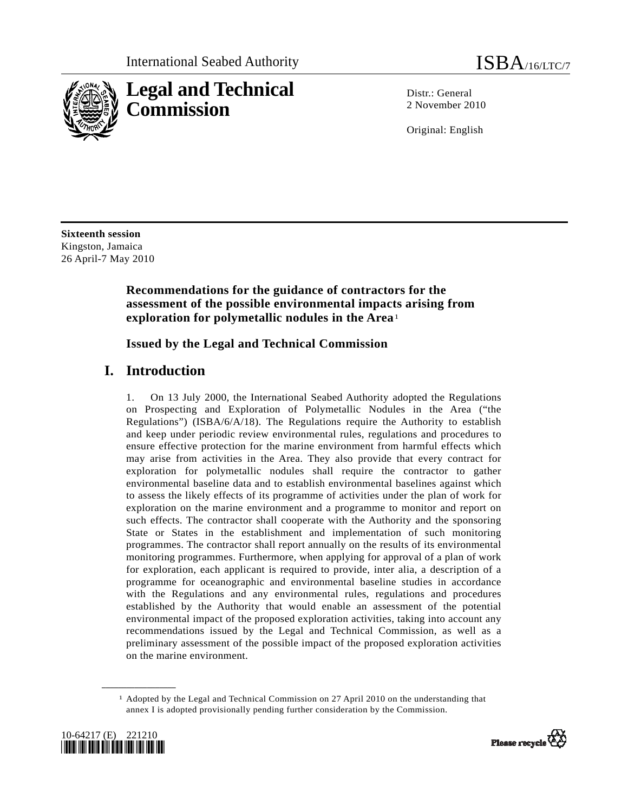

Distr · General 2 November 2010

Original: English

**Sixteenth session**  Kingston, Jamaica 26 April-7 May 2010

### **Recommendations for the guidance of contractors for the assessment of the possible environmental impacts arising from exploration for polymetallic nodules in the Area**[1](#page-0-0)

 **Issued by the Legal and Technical Commission** 

## **I. Introduction**

1. On 13 July 2000, the International Seabed Authority adopted the Regulations on Prospecting and Exploration of Polymetallic Nodules in the Area ("the Regulations") (ISBA/6/A/18). The Regulations require the Authority to establish and keep under periodic review environmental rules, regulations and procedures to ensure effective protection for the marine environment from harmful effects which may arise from activities in the Area. They also provide that every contract for exploration for polymetallic nodules shall require the contractor to gather environmental baseline data and to establish environmental baselines against which to assess the likely effects of its programme of activities under the plan of work for exploration on the marine environment and a programme to monitor and report on such effects. The contractor shall cooperate with the Authority and the sponsoring State or States in the establishment and implementation of such monitoring programmes. The contractor shall report annually on the results of its environmental monitoring programmes. Furthermore, when applying for approval of a plan of work for exploration, each applicant is required to provide, inter alia, a description of a programme for oceanographic and environmental baseline studies in accordance with the Regulations and any environmental rules, regulations and procedures established by the Authority that would enable an assessment of the potential environmental impact of the proposed exploration activities, taking into account any recommendations issued by the Legal and Technical Commission, as well as a preliminary assessment of the possible impact of the proposed exploration activities on the marine environment.

<span id="page-0-0"></span><sup>1</sup> Adopted by the Legal and Technical Commission on 27 April 2010 on the understanding that annex I is adopted provisionally pending further consideration by the Commission.



**\_\_\_\_\_\_\_\_\_\_\_\_\_\_\_\_\_\_** 

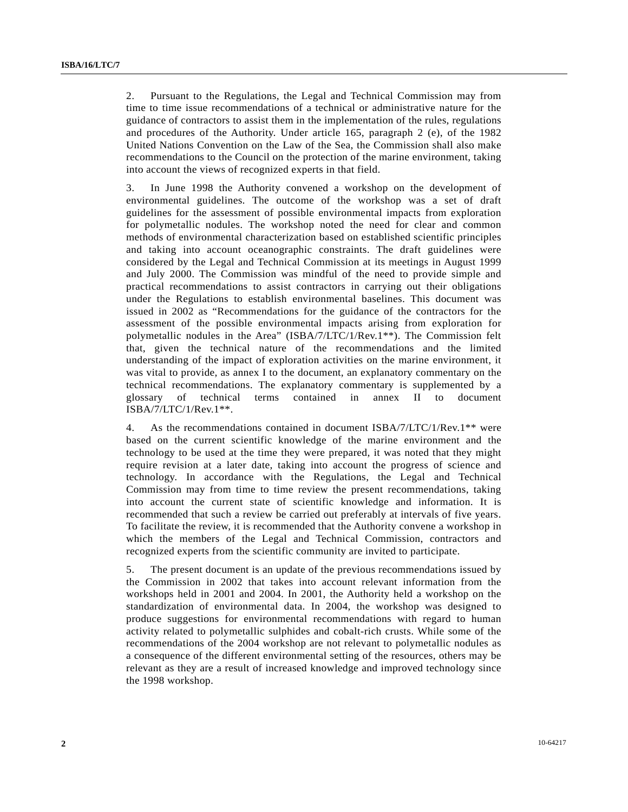2. Pursuant to the Regulations, the Legal and Technical Commission may from time to time issue recommendations of a technical or administrative nature for the guidance of contractors to assist them in the implementation of the rules, regulations and procedures of the Authority. Under article 165, paragraph 2 (e), of the 1982 United Nations Convention on the Law of the Sea, the Commission shall also make recommendations to the Council on the protection of the marine environment, taking into account the views of recognized experts in that field.

3. In June 1998 the Authority convened a workshop on the development of environmental guidelines. The outcome of the workshop was a set of draft guidelines for the assessment of possible environmental impacts from exploration for polymetallic nodules. The workshop noted the need for clear and common methods of environmental characterization based on established scientific principles and taking into account oceanographic constraints. The draft guidelines were considered by the Legal and Technical Commission at its meetings in August 1999 and July 2000. The Commission was mindful of the need to provide simple and practical recommendations to assist contractors in carrying out their obligations under the Regulations to establish environmental baselines. This document was issued in 2002 as "Recommendations for the guidance of the contractors for the assessment of the possible environmental impacts arising from exploration for polymetallic nodules in the Area" (ISBA/7/LTC/1/Rev.1\*\*). The Commission felt that, given the technical nature of the recommendations and the limited understanding of the impact of exploration activities on the marine environment, it was vital to provide, as annex I to the document, an explanatory commentary on the technical recommendations. The explanatory commentary is supplemented by a glossary of technical terms contained in annex II to document ISBA/7/LTC/1/Rev.1\*\*.

4. As the recommendations contained in document ISBA/7/LTC/1/Rev.1\*\* were based on the current scientific knowledge of the marine environment and the technology to be used at the time they were prepared, it was noted that they might require revision at a later date, taking into account the progress of science and technology. In accordance with the Regulations, the Legal and Technical Commission may from time to time review the present recommendations, taking into account the current state of scientific knowledge and information. It is recommended that such a review be carried out preferably at intervals of five years. To facilitate the review, it is recommended that the Authority convene a workshop in which the members of the Legal and Technical Commission, contractors and recognized experts from the scientific community are invited to participate.

5. The present document is an update of the previous recommendations issued by the Commission in 2002 that takes into account relevant information from the workshops held in 2001 and 2004. In 2001, the Authority held a workshop on the standardization of environmental data. In 2004, the workshop was designed to produce suggestions for environmental recommendations with regard to human activity related to polymetallic sulphides and cobalt-rich crusts. While some of the recommendations of the 2004 workshop are not relevant to polymetallic nodules as a consequence of the different environmental setting of the resources, others may be relevant as they are a result of increased knowledge and improved technology since the 1998 workshop.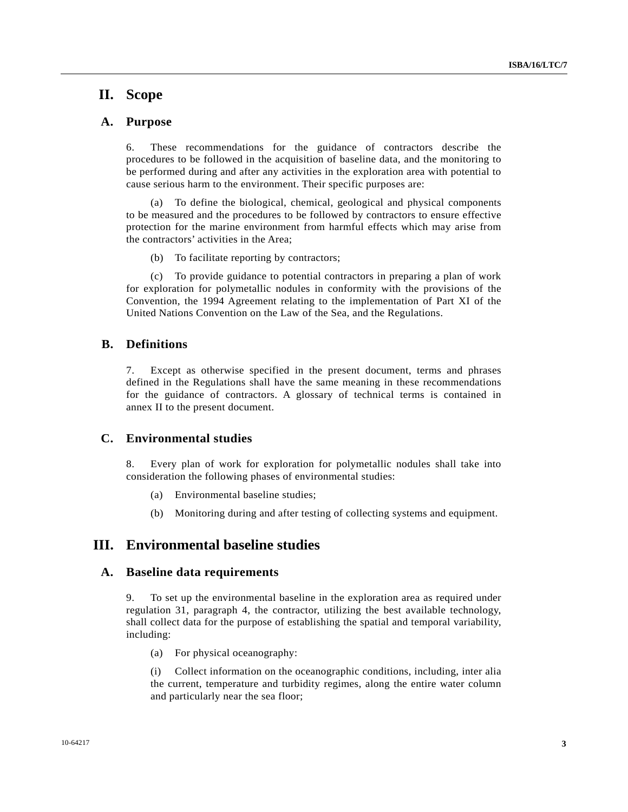## **II. Scope**

#### **A. Purpose**

6. These recommendations for the guidance of contractors describe the procedures to be followed in the acquisition of baseline data, and the monitoring to be performed during and after any activities in the exploration area with potential to cause serious harm to the environment. Their specific purposes are:

 (a) To define the biological, chemical, geological and physical components to be measured and the procedures to be followed by contractors to ensure effective protection for the marine environment from harmful effects which may arise from the contractors' activities in the Area;

(b) To facilitate reporting by contractors;

 (c) To provide guidance to potential contractors in preparing a plan of work for exploration for polymetallic nodules in conformity with the provisions of the Convention, the 1994 Agreement relating to the implementation of Part XI of the United Nations Convention on the Law of the Sea, and the Regulations.

#### **B. Definitions**

7. Except as otherwise specified in the present document, terms and phrases defined in the Regulations shall have the same meaning in these recommendations for the guidance of contractors. A glossary of technical terms is contained in annex II to the present document.

#### **C. Environmental studies**

8. Every plan of work for exploration for polymetallic nodules shall take into consideration the following phases of environmental studies:

- (a) Environmental baseline studies;
- (b) Monitoring during and after testing of collecting systems and equipment.

#### **III. Environmental baseline studies**

#### **A. Baseline data requirements**

9. To set up the environmental baseline in the exploration area as required under regulation 31, paragraph 4, the contractor, utilizing the best available technology, shall collect data for the purpose of establishing the spatial and temporal variability, including:

(a) For physical oceanography:

 (i) Collect information on the oceanographic conditions, including, inter alia the current, temperature and turbidity regimes, along the entire water column and particularly near the sea floor;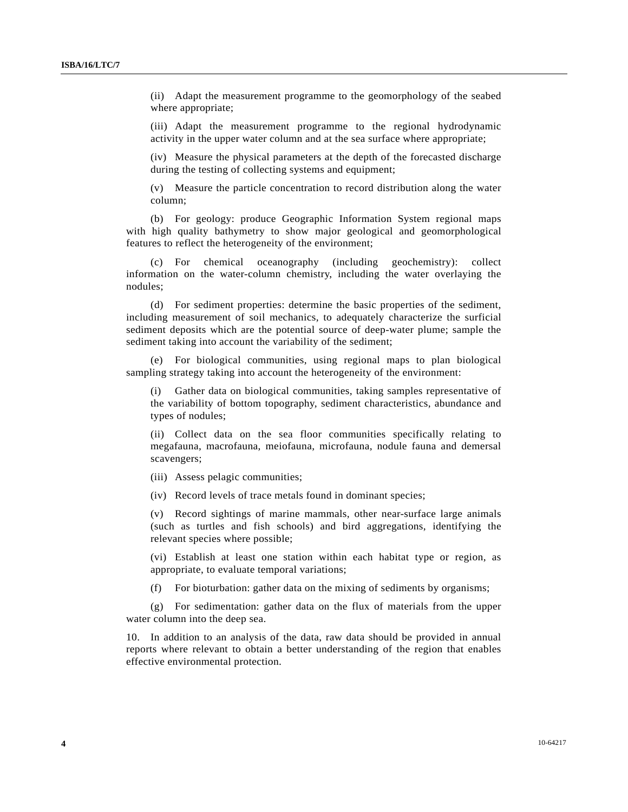(ii) Adapt the measurement programme to the geomorphology of the seabed where appropriate;

 (iii) Adapt the measurement programme to the regional hydrodynamic activity in the upper water column and at the sea surface where appropriate;

 (iv) Measure the physical parameters at the depth of the forecasted discharge during the testing of collecting systems and equipment;

 (v) Measure the particle concentration to record distribution along the water column;

 (b) For geology: produce Geographic Information System regional maps with high quality bathymetry to show major geological and geomorphological features to reflect the heterogeneity of the environment;

 (c) For chemical oceanography (including geochemistry): collect information on the water-column chemistry, including the water overlaying the nodules;

 (d) For sediment properties: determine the basic properties of the sediment, including measurement of soil mechanics, to adequately characterize the surficial sediment deposits which are the potential source of deep-water plume; sample the sediment taking into account the variability of the sediment;

 (e) For biological communities, using regional maps to plan biological sampling strategy taking into account the heterogeneity of the environment:

 (i) Gather data on biological communities, taking samples representative of the variability of bottom topography, sediment characteristics, abundance and types of nodules;

 (ii) Collect data on the sea floor communities specifically relating to megafauna, macrofauna, meiofauna, microfauna, nodule fauna and demersal scavengers;

(iii) Assess pelagic communities;

(iv) Record levels of trace metals found in dominant species;

 (v) Record sightings of marine mammals, other near-surface large animals (such as turtles and fish schools) and bird aggregations, identifying the relevant species where possible;

 (vi) Establish at least one station within each habitat type or region, as appropriate, to evaluate temporal variations;

(f) For bioturbation: gather data on the mixing of sediments by organisms;

 (g) For sedimentation: gather data on the flux of materials from the upper water column into the deep sea.

10. In addition to an analysis of the data, raw data should be provided in annual reports where relevant to obtain a better understanding of the region that enables effective environmental protection.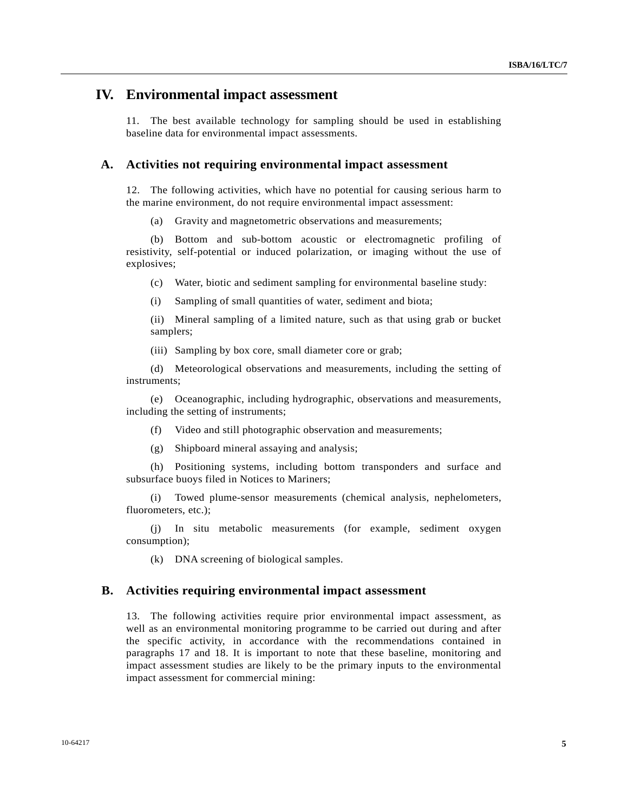#### **IV. Environmental impact assessment**

11. The best available technology for sampling should be used in establishing baseline data for environmental impact assessments.

#### **A. Activities not requiring environmental impact assessment**

12. The following activities, which have no potential for causing serious harm to the marine environment, do not require environmental impact assessment:

(a) Gravity and magnetometric observations and measurements;

 (b) Bottom and sub-bottom acoustic or electromagnetic profiling of resistivity, self-potential or induced polarization, or imaging without the use of explosives;

(c) Water, biotic and sediment sampling for environmental baseline study:

(i) Sampling of small quantities of water, sediment and biota;

 (ii) Mineral sampling of a limited nature, such as that using grab or bucket samplers;

(iii) Sampling by box core, small diameter core or grab;

 (d) Meteorological observations and measurements, including the setting of instruments;

 (e) Oceanographic, including hydrographic, observations and measurements, including the setting of instruments;

(f) Video and still photographic observation and measurements;

(g) Shipboard mineral assaying and analysis;

 (h) Positioning systems, including bottom transponders and surface and subsurface buoys filed in Notices to Mariners;

 (i) Towed plume-sensor measurements (chemical analysis, nephelometers, fluorometers, etc.);

 (j) In situ metabolic measurements (for example, sediment oxygen consumption);

(k) DNA screening of biological samples.

#### **B. Activities requiring environmental impact assessment**

13. The following activities require prior environmental impact assessment, as well as an environmental monitoring programme to be carried out during and after the specific activity, in accordance with the recommendations contained in paragraphs 17 and 18. It is important to note that these baseline, monitoring and impact assessment studies are likely to be the primary inputs to the environmental impact assessment for commercial mining: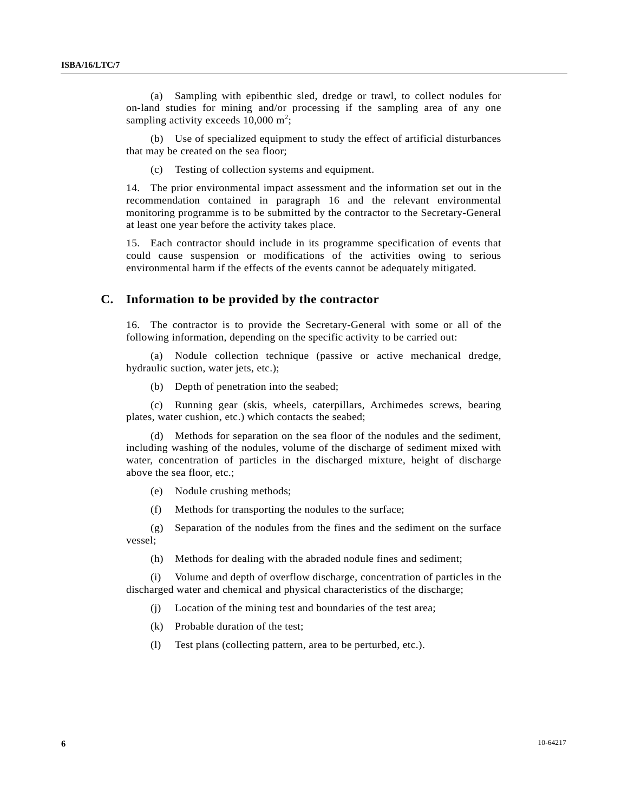(a) Sampling with epibenthic sled, dredge or trawl, to collect nodules for on-land studies for mining and/or processing if the sampling area of any one sampling activity exceeds  $10,000 \text{ m}^2$ ;

 (b) Use of specialized equipment to study the effect of artificial disturbances that may be created on the sea floor;

(c) Testing of collection systems and equipment.

14. The prior environmental impact assessment and the information set out in the recommendation contained in paragraph 16 and the relevant environmental monitoring programme is to be submitted by the contractor to the Secretary-General at least one year before the activity takes place.

15. Each contractor should include in its programme specification of events that could cause suspension or modifications of the activities owing to serious environmental harm if the effects of the events cannot be adequately mitigated.

#### **C. Information to be provided by the contractor**

16. The contractor is to provide the Secretary-General with some or all of the following information, depending on the specific activity to be carried out:

 (a) Nodule collection technique (passive or active mechanical dredge, hydraulic suction, water jets, etc.);

(b) Depth of penetration into the seabed;

 (c) Running gear (skis, wheels, caterpillars, Archimedes screws, bearing plates, water cushion, etc.) which contacts the seabed;

 (d) Methods for separation on the sea floor of the nodules and the sediment, including washing of the nodules, volume of the discharge of sediment mixed with water, concentration of particles in the discharged mixture, height of discharge above the sea floor, etc.;

(e) Nodule crushing methods;

(f) Methods for transporting the nodules to the surface;

 (g) Separation of the nodules from the fines and the sediment on the surface vessel;

(h) Methods for dealing with the abraded nodule fines and sediment;

 (i) Volume and depth of overflow discharge, concentration of particles in the discharged water and chemical and physical characteristics of the discharge;

(j) Location of the mining test and boundaries of the test area;

(k) Probable duration of the test;

(l) Test plans (collecting pattern, area to be perturbed, etc.).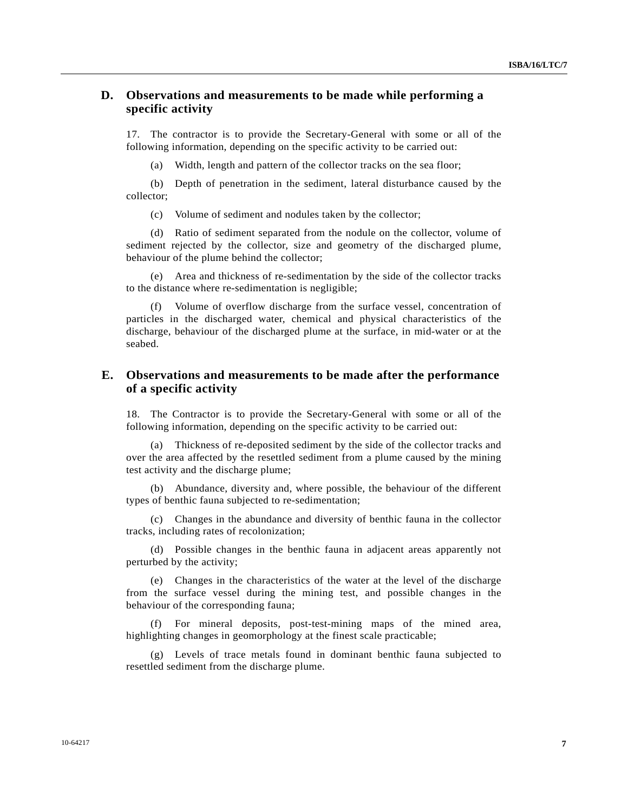#### **D. Observations and measurements to be made while performing a specific activity**

17. The contractor is to provide the Secretary-General with some or all of the following information, depending on the specific activity to be carried out:

(a) Width, length and pattern of the collector tracks on the sea floor;

 (b) Depth of penetration in the sediment, lateral disturbance caused by the collector;

(c) Volume of sediment and nodules taken by the collector;

 (d) Ratio of sediment separated from the nodule on the collector, volume of sediment rejected by the collector, size and geometry of the discharged plume, behaviour of the plume behind the collector;

 (e) Area and thickness of re-sedimentation by the side of the collector tracks to the distance where re-sedimentation is negligible;

 (f) Volume of overflow discharge from the surface vessel, concentration of particles in the discharged water, chemical and physical characteristics of the discharge, behaviour of the discharged plume at the surface, in mid-water or at the seabed.

#### **E. Observations and measurements to be made after the performance of a specific activity**

18. The Contractor is to provide the Secretary-General with some or all of the following information, depending on the specific activity to be carried out:

 (a) Thickness of re-deposited sediment by the side of the collector tracks and over the area affected by the resettled sediment from a plume caused by the mining test activity and the discharge plume;

 (b) Abundance, diversity and, where possible, the behaviour of the different types of benthic fauna subjected to re-sedimentation;

 (c) Changes in the abundance and diversity of benthic fauna in the collector tracks, including rates of recolonization;

 (d) Possible changes in the benthic fauna in adjacent areas apparently not perturbed by the activity;

 (e) Changes in the characteristics of the water at the level of the discharge from the surface vessel during the mining test, and possible changes in the behaviour of the corresponding fauna;

For mineral deposits, post-test-mining maps of the mined area, highlighting changes in geomorphology at the finest scale practicable;

 (g) Levels of trace metals found in dominant benthic fauna subjected to resettled sediment from the discharge plume.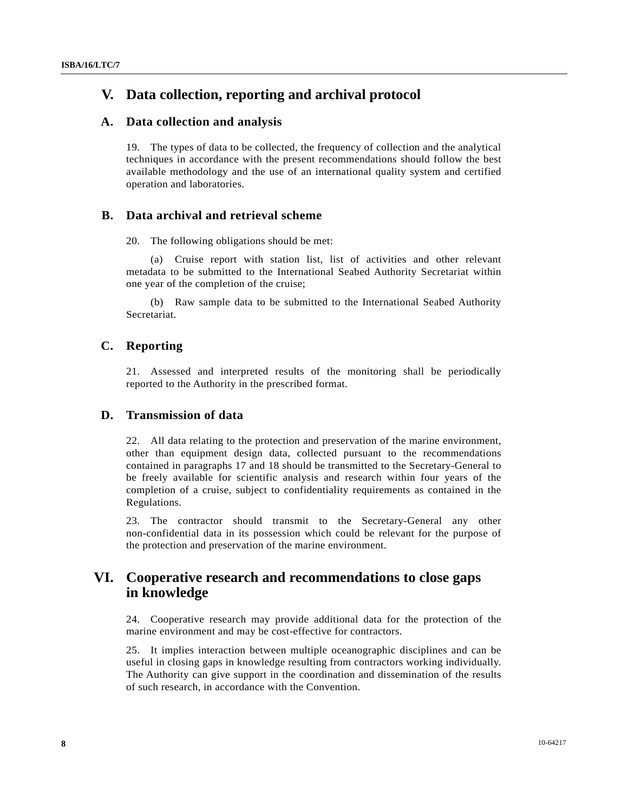## **V. Data collection, reporting and archival protocol**

#### **A. Data collection and analysis**

19. The types of data to be collected, the frequency of collection and the analytical techniques in accordance with the present recommendations should follow the best available methodology and the use of an international quality system and certified operation and laboratories.

#### **B. Data archival and retrieval scheme**

20. The following obligations should be met:

 (a) Cruise report with station list, list of activities and other relevant metadata to be submitted to the International Seabed Authority Secretariat within one year of the completion of the cruise;

 (b) Raw sample data to be submitted to the International Seabed Authority Secretariat.

#### **C. Reporting**

21. Assessed and interpreted results of the monitoring shall be periodically reported to the Authority in the prescribed format.

#### **D. Transmission of data**

22. All data relating to the protection and preservation of the marine environment, other than equipment design data, collected pursuant to the recommendations contained in paragraphs 17 and 18 should be transmitted to the Secretary-General to be freely available for scientific analysis and research within four years of the completion of a cruise, subject to confidentiality requirements as contained in the Regulations.

23. The contractor should transmit to the Secretary-General any other non-confidential data in its possession which could be relevant for the purpose of the protection and preservation of the marine environment.

## **VI. Cooperative research and recommendations to close gaps in knowledge**

24. Cooperative research may provide additional data for the protection of the marine environment and may be cost-effective for contractors.

25. It implies interaction between multiple oceanographic disciplines and can be useful in closing gaps in knowledge resulting from contractors working individually. The Authority can give support in the coordination and dissemination of the results of such research, in accordance with the Convention.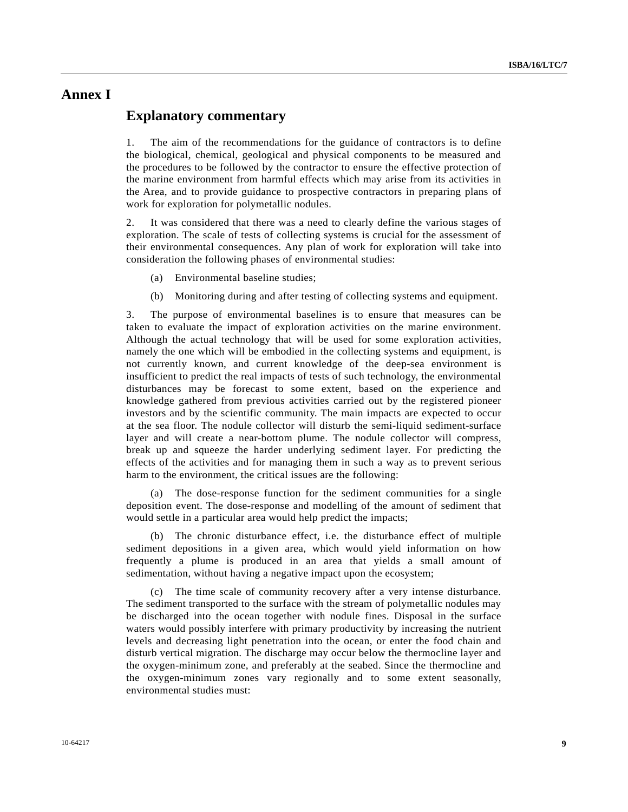## **Annex I**

#### **Explanatory commentary**

1. The aim of the recommendations for the guidance of contractors is to define the biological, chemical, geological and physical components to be measured and the procedures to be followed by the contractor to ensure the effective protection of the marine environment from harmful effects which may arise from its activities in the Area, and to provide guidance to prospective contractors in preparing plans of work for exploration for polymetallic nodules.

2. It was considered that there was a need to clearly define the various stages of exploration. The scale of tests of collecting systems is crucial for the assessment of their environmental consequences. Any plan of work for exploration will take into consideration the following phases of environmental studies:

- (a) Environmental baseline studies;
- (b) Monitoring during and after testing of collecting systems and equipment.

3. The purpose of environmental baselines is to ensure that measures can be taken to evaluate the impact of exploration activities on the marine environment. Although the actual technology that will be used for some exploration activities, namely the one which will be embodied in the collecting systems and equipment, is not currently known, and current knowledge of the deep-sea environment is insufficient to predict the real impacts of tests of such technology, the environmental disturbances may be forecast to some extent, based on the experience and knowledge gathered from previous activities carried out by the registered pioneer investors and by the scientific community. The main impacts are expected to occur at the sea floor. The nodule collector will disturb the semi-liquid sediment-surface layer and will create a near-bottom plume. The nodule collector will compress, break up and squeeze the harder underlying sediment layer. For predicting the effects of the activities and for managing them in such a way as to prevent serious harm to the environment, the critical issues are the following:

 (a) The dose-response function for the sediment communities for a single deposition event. The dose-response and modelling of the amount of sediment that would settle in a particular area would help predict the impacts;

 (b) The chronic disturbance effect, i.e. the disturbance effect of multiple sediment depositions in a given area, which would yield information on how frequently a plume is produced in an area that yields a small amount of sedimentation, without having a negative impact upon the ecosystem;

 (c) The time scale of community recovery after a very intense disturbance. The sediment transported to the surface with the stream of polymetallic nodules may be discharged into the ocean together with nodule fines. Disposal in the surface waters would possibly interfere with primary productivity by increasing the nutrient levels and decreasing light penetration into the ocean, or enter the food chain and disturb vertical migration. The discharge may occur below the thermocline layer and the oxygen-minimum zone, and preferably at the seabed. Since the thermocline and the oxygen-minimum zones vary regionally and to some extent seasonally, environmental studies must: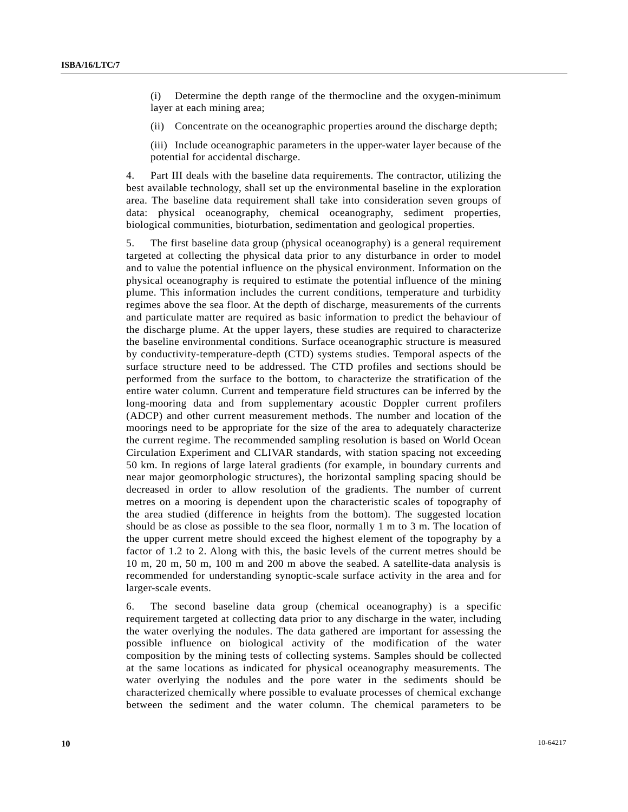(i) Determine the depth range of the thermocline and the oxygen-minimum layer at each mining area;

(ii) Concentrate on the oceanographic properties around the discharge depth;

 (iii) Include oceanographic parameters in the upper-water layer because of the potential for accidental discharge.

4. Part III deals with the baseline data requirements. The contractor, utilizing the best available technology, shall set up the environmental baseline in the exploration area. The baseline data requirement shall take into consideration seven groups of data: physical oceanography, chemical oceanography, sediment properties, biological communities, bioturbation, sedimentation and geological properties.

5. The first baseline data group (physical oceanography) is a general requirement targeted at collecting the physical data prior to any disturbance in order to model and to value the potential influence on the physical environment. Information on the physical oceanography is required to estimate the potential influence of the mining plume. This information includes the current conditions, temperature and turbidity regimes above the sea floor. At the depth of discharge, measurements of the currents and particulate matter are required as basic information to predict the behaviour of the discharge plume. At the upper layers, these studies are required to characterize the baseline environmental conditions. Surface oceanographic structure is measured by conductivity-temperature-depth (CTD) systems studies. Temporal aspects of the surface structure need to be addressed. The CTD profiles and sections should be performed from the surface to the bottom, to characterize the stratification of the entire water column. Current and temperature field structures can be inferred by the long-mooring data and from supplementary acoustic Doppler current profilers (ADCP) and other current measurement methods. The number and location of the moorings need to be appropriate for the size of the area to adequately characterize the current regime. The recommended sampling resolution is based on World Ocean Circulation Experiment and CLIVAR standards, with station spacing not exceeding 50 km. In regions of large lateral gradients (for example, in boundary currents and near major geomorphologic structures), the horizontal sampling spacing should be decreased in order to allow resolution of the gradients. The number of current metres on a mooring is dependent upon the characteristic scales of topography of the area studied (difference in heights from the bottom). The suggested location should be as close as possible to the sea floor, normally 1 m to 3 m. The location of the upper current metre should exceed the highest element of the topography by a factor of 1.2 to 2. Along with this, the basic levels of the current metres should be 10 m, 20 m, 50 m, 100 m and 200 m above the seabed. A satellite-data analysis is recommended for understanding synoptic-scale surface activity in the area and for larger-scale events.

6. The second baseline data group (chemical oceanography) is a specific requirement targeted at collecting data prior to any discharge in the water, including the water overlying the nodules. The data gathered are important for assessing the possible influence on biological activity of the modification of the water composition by the mining tests of collecting systems. Samples should be collected at the same locations as indicated for physical oceanography measurements. The water overlying the nodules and the pore water in the sediments should be characterized chemically where possible to evaluate processes of chemical exchange between the sediment and the water column. The chemical parameters to be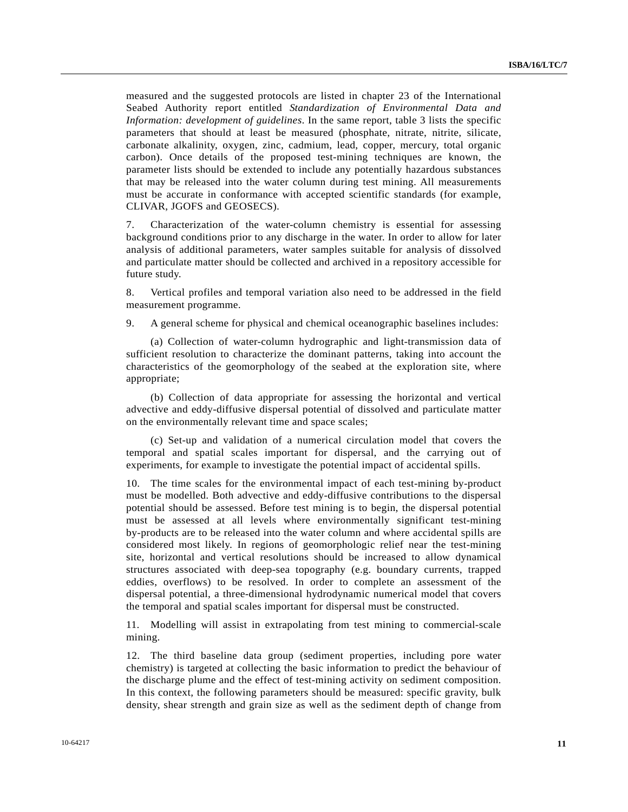measured and the suggested protocols are listed in chapter 23 of the International Seabed Authority report entitled *Standardization of Environmental Data and Information: development of guidelines*. In the same report, table 3 lists the specific parameters that should at least be measured (phosphate, nitrate, nitrite, silicate, carbonate alkalinity, oxygen, zinc, cadmium, lead, copper, mercury, total organic carbon). Once details of the proposed test-mining techniques are known, the parameter lists should be extended to include any potentially hazardous substances that may be released into the water column during test mining. All measurements must be accurate in conformance with accepted scientific standards (for example, CLIVAR, JGOFS and GEOSECS).

7. Characterization of the water-column chemistry is essential for assessing background conditions prior to any discharge in the water. In order to allow for later analysis of additional parameters, water samples suitable for analysis of dissolved and particulate matter should be collected and archived in a repository accessible for future study.

8. Vertical profiles and temporal variation also need to be addressed in the field measurement programme.

9. A general scheme for physical and chemical oceanographic baselines includes:

 (a) Collection of water-column hydrographic and light-transmission data of sufficient resolution to characterize the dominant patterns, taking into account the characteristics of the geomorphology of the seabed at the exploration site, where appropriate;

 (b) Collection of data appropriate for assessing the horizontal and vertical advective and eddy-diffusive dispersal potential of dissolved and particulate matter on the environmentally relevant time and space scales;

 (c) Set-up and validation of a numerical circulation model that covers the temporal and spatial scales important for dispersal, and the carrying out of experiments, for example to investigate the potential impact of accidental spills.

10. The time scales for the environmental impact of each test-mining by-product must be modelled. Both advective and eddy-diffusive contributions to the dispersal potential should be assessed. Before test mining is to begin, the dispersal potential must be assessed at all levels where environmentally significant test-mining by-products are to be released into the water column and where accidental spills are considered most likely. In regions of geomorphologic relief near the test-mining site, horizontal and vertical resolutions should be increased to allow dynamical structures associated with deep-sea topography (e.g. boundary currents, trapped eddies, overflows) to be resolved. In order to complete an assessment of the dispersal potential, a three-dimensional hydrodynamic numerical model that covers the temporal and spatial scales important for dispersal must be constructed.

11. Modelling will assist in extrapolating from test mining to commercial-scale mining.

12. The third baseline data group (sediment properties, including pore water chemistry) is targeted at collecting the basic information to predict the behaviour of the discharge plume and the effect of test-mining activity on sediment composition. In this context, the following parameters should be measured: specific gravity, bulk density, shear strength and grain size as well as the sediment depth of change from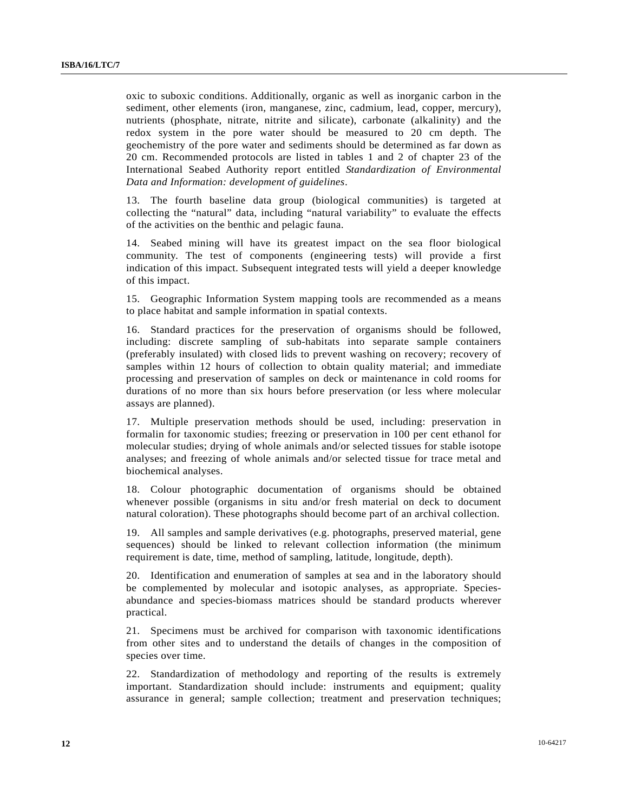oxic to suboxic conditions. Additionally, organic as well as inorganic carbon in the sediment, other elements (iron, manganese, zinc, cadmium, lead, copper, mercury), nutrients (phosphate, nitrate, nitrite and silicate), carbonate (alkalinity) and the redox system in the pore water should be measured to 20 cm depth. The geochemistry of the pore water and sediments should be determined as far down as 20 cm. Recommended protocols are listed in tables 1 and 2 of chapter 23 of the International Seabed Authority report entitled *Standardization of Environmental Data and Information: development of guidelines*.

13. The fourth baseline data group (biological communities) is targeted at collecting the "natural" data, including "natural variability" to evaluate the effects of the activities on the benthic and pelagic fauna.

14. Seabed mining will have its greatest impact on the sea floor biological community. The test of components (engineering tests) will provide a first indication of this impact. Subsequent integrated tests will yield a deeper knowledge of this impact.

15. Geographic Information System mapping tools are recommended as a means to place habitat and sample information in spatial contexts.

16. Standard practices for the preservation of organisms should be followed, including: discrete sampling of sub-habitats into separate sample containers (preferably insulated) with closed lids to prevent washing on recovery; recovery of samples within 12 hours of collection to obtain quality material; and immediate processing and preservation of samples on deck or maintenance in cold rooms for durations of no more than six hours before preservation (or less where molecular assays are planned).

17. Multiple preservation methods should be used, including: preservation in formalin for taxonomic studies; freezing or preservation in 100 per cent ethanol for molecular studies; drying of whole animals and/or selected tissues for stable isotope analyses; and freezing of whole animals and/or selected tissue for trace metal and biochemical analyses.

18. Colour photographic documentation of organisms should be obtained whenever possible (organisms in situ and/or fresh material on deck to document natural coloration). These photographs should become part of an archival collection.

19. All samples and sample derivatives (e.g. photographs, preserved material, gene sequences) should be linked to relevant collection information (the minimum requirement is date, time, method of sampling, latitude, longitude, depth).

20. Identification and enumeration of samples at sea and in the laboratory should be complemented by molecular and isotopic analyses, as appropriate. Speciesabundance and species-biomass matrices should be standard products wherever practical.

21. Specimens must be archived for comparison with taxonomic identifications from other sites and to understand the details of changes in the composition of species over time.

22. Standardization of methodology and reporting of the results is extremely important. Standardization should include: instruments and equipment; quality assurance in general; sample collection; treatment and preservation techniques;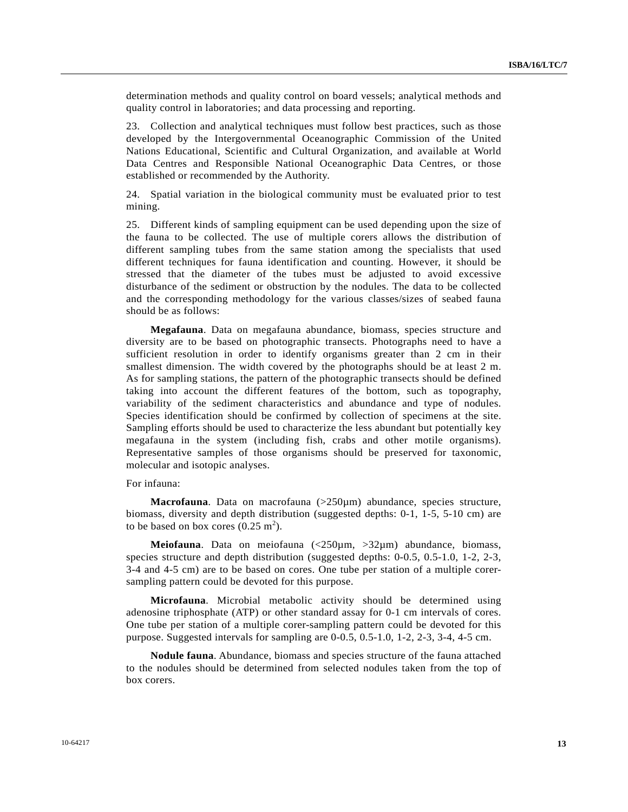determination methods and quality control on board vessels; analytical methods and quality control in laboratories; and data processing and reporting.

23. Collection and analytical techniques must follow best practices, such as those developed by the Intergovernmental Oceanographic Commission of the United Nations Educational, Scientific and Cultural Organization, and available at World Data Centres and Responsible National Oceanographic Data Centres, or those established or recommended by the Authority.

24. Spatial variation in the biological community must be evaluated prior to test mining.

25. Different kinds of sampling equipment can be used depending upon the size of the fauna to be collected. The use of multiple corers allows the distribution of different sampling tubes from the same station among the specialists that used different techniques for fauna identification and counting. However, it should be stressed that the diameter of the tubes must be adjusted to avoid excessive disturbance of the sediment or obstruction by the nodules. The data to be collected and the corresponding methodology for the various classes/sizes of seabed fauna should be as follows:

**Megafauna**. Data on megafauna abundance, biomass, species structure and diversity are to be based on photographic transects. Photographs need to have a sufficient resolution in order to identify organisms greater than 2 cm in their smallest dimension. The width covered by the photographs should be at least 2 m. As for sampling stations, the pattern of the photographic transects should be defined taking into account the different features of the bottom, such as topography, variability of the sediment characteristics and abundance and type of nodules. Species identification should be confirmed by collection of specimens at the site. Sampling efforts should be used to characterize the less abundant but potentially key megafauna in the system (including fish, crabs and other motile organisms). Representative samples of those organisms should be preserved for taxonomic, molecular and isotopic analyses.

For infauna:

Macrofauna. Data on macrofauna (>250µm) abundance, species structure, biomass, diversity and depth distribution (suggested depths: 0-1, 1-5, 5-10 cm) are to be based on box cores  $(0.25 \text{ m}^2)$ .

**Meiofauna**. Data on meiofauna (<250µm, >32µm) abundance, biomass, species structure and depth distribution (suggested depths: 0-0.5, 0.5-1.0, 1-2, 2-3, 3-4 and 4-5 cm) are to be based on cores. One tube per station of a multiple corersampling pattern could be devoted for this purpose.

**Microfauna**. Microbial metabolic activity should be determined using adenosine triphosphate (ATP) or other standard assay for 0-1 cm intervals of cores. One tube per station of a multiple corer-sampling pattern could be devoted for this purpose. Suggested intervals for sampling are 0-0.5, 0.5-1.0, 1-2, 2-3, 3-4, 4-5 cm.

**Nodule fauna**. Abundance, biomass and species structure of the fauna attached to the nodules should be determined from selected nodules taken from the top of box corers.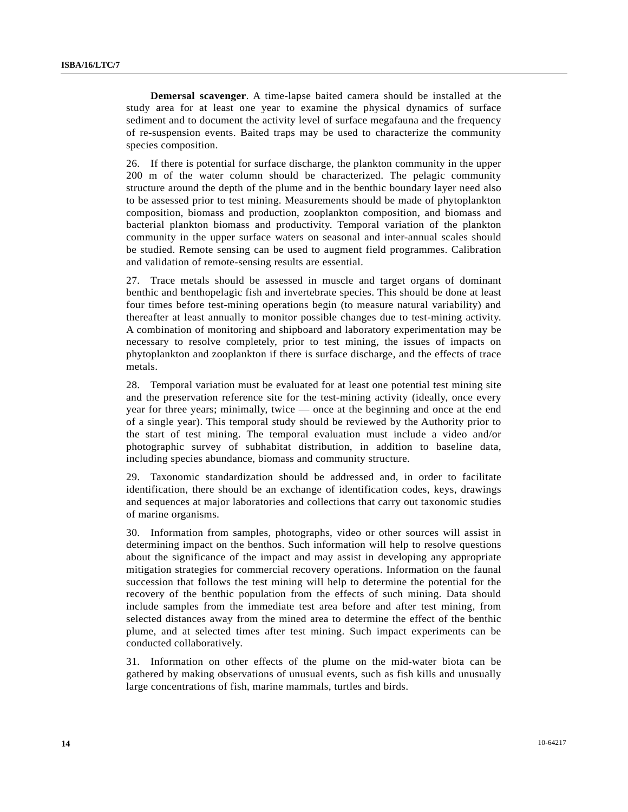**Demersal scavenger**. A time-lapse baited camera should be installed at the study area for at least one year to examine the physical dynamics of surface sediment and to document the activity level of surface megafauna and the frequency of re-suspension events. Baited traps may be used to characterize the community species composition.

26. If there is potential for surface discharge, the plankton community in the upper 200 m of the water column should be characterized. The pelagic community structure around the depth of the plume and in the benthic boundary layer need also to be assessed prior to test mining. Measurements should be made of phytoplankton composition, biomass and production, zooplankton composition, and biomass and bacterial plankton biomass and productivity. Temporal variation of the plankton community in the upper surface waters on seasonal and inter-annual scales should be studied. Remote sensing can be used to augment field programmes. Calibration and validation of remote-sensing results are essential.

27. Trace metals should be assessed in muscle and target organs of dominant benthic and benthopelagic fish and invertebrate species. This should be done at least four times before test-mining operations begin (to measure natural variability) and thereafter at least annually to monitor possible changes due to test-mining activity. A combination of monitoring and shipboard and laboratory experimentation may be necessary to resolve completely, prior to test mining, the issues of impacts on phytoplankton and zooplankton if there is surface discharge, and the effects of trace metals.

28. Temporal variation must be evaluated for at least one potential test mining site and the preservation reference site for the test-mining activity (ideally, once every year for three years; minimally, twice — once at the beginning and once at the end of a single year). This temporal study should be reviewed by the Authority prior to the start of test mining. The temporal evaluation must include a video and/or photographic survey of subhabitat distribution, in addition to baseline data, including species abundance, biomass and community structure.

29. Taxonomic standardization should be addressed and, in order to facilitate identification, there should be an exchange of identification codes, keys, drawings and sequences at major laboratories and collections that carry out taxonomic studies of marine organisms.

30. Information from samples, photographs, video or other sources will assist in determining impact on the benthos. Such information will help to resolve questions about the significance of the impact and may assist in developing any appropriate mitigation strategies for commercial recovery operations. Information on the faunal succession that follows the test mining will help to determine the potential for the recovery of the benthic population from the effects of such mining. Data should include samples from the immediate test area before and after test mining, from selected distances away from the mined area to determine the effect of the benthic plume, and at selected times after test mining. Such impact experiments can be conducted collaboratively.

31. Information on other effects of the plume on the mid-water biota can be gathered by making observations of unusual events, such as fish kills and unusually large concentrations of fish, marine mammals, turtles and birds.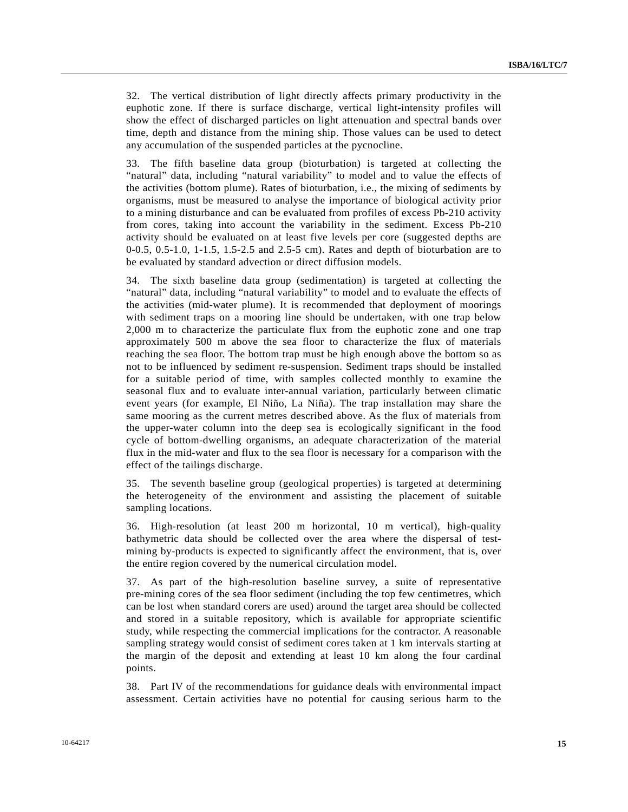32. The vertical distribution of light directly affects primary productivity in the euphotic zone. If there is surface discharge, vertical light-intensity profiles will show the effect of discharged particles on light attenuation and spectral bands over time, depth and distance from the mining ship. Those values can be used to detect any accumulation of the suspended particles at the pycnocline.

33. The fifth baseline data group (bioturbation) is targeted at collecting the "natural" data, including "natural variability" to model and to value the effects of the activities (bottom plume). Rates of bioturbation, i.e., the mixing of sediments by organisms, must be measured to analyse the importance of biological activity prior to a mining disturbance and can be evaluated from profiles of excess Pb-210 activity from cores, taking into account the variability in the sediment. Excess Pb-210 activity should be evaluated on at least five levels per core (suggested depths are 0-0.5, 0.5-1.0, 1-1.5, 1.5-2.5 and 2.5-5 cm). Rates and depth of bioturbation are to be evaluated by standard advection or direct diffusion models.

34. The sixth baseline data group (sedimentation) is targeted at collecting the "natural" data, including "natural variability" to model and to evaluate the effects of the activities (mid-water plume). It is recommended that deployment of moorings with sediment traps on a mooring line should be undertaken, with one trap below 2,000 m to characterize the particulate flux from the euphotic zone and one trap approximately 500 m above the sea floor to characterize the flux of materials reaching the sea floor. The bottom trap must be high enough above the bottom so as not to be influenced by sediment re-suspension. Sediment traps should be installed for a suitable period of time, with samples collected monthly to examine the seasonal flux and to evaluate inter-annual variation, particularly between climatic event years (for example, El Niño, La Niña). The trap installation may share the same mooring as the current metres described above. As the flux of materials from the upper-water column into the deep sea is ecologically significant in the food cycle of bottom-dwelling organisms, an adequate characterization of the material flux in the mid-water and flux to the sea floor is necessary for a comparison with the effect of the tailings discharge.

35. The seventh baseline group (geological properties) is targeted at determining the heterogeneity of the environment and assisting the placement of suitable sampling locations.

36. High-resolution (at least 200 m horizontal, 10 m vertical), high-quality bathymetric data should be collected over the area where the dispersal of testmining by-products is expected to significantly affect the environment, that is, over the entire region covered by the numerical circulation model.

37. As part of the high-resolution baseline survey, a suite of representative pre-mining cores of the sea floor sediment (including the top few centimetres, which can be lost when standard corers are used) around the target area should be collected and stored in a suitable repository, which is available for appropriate scientific study, while respecting the commercial implications for the contractor. A reasonable sampling strategy would consist of sediment cores taken at 1 km intervals starting at the margin of the deposit and extending at least 10 km along the four cardinal points.

38. Part IV of the recommendations for guidance deals with environmental impact assessment. Certain activities have no potential for causing serious harm to the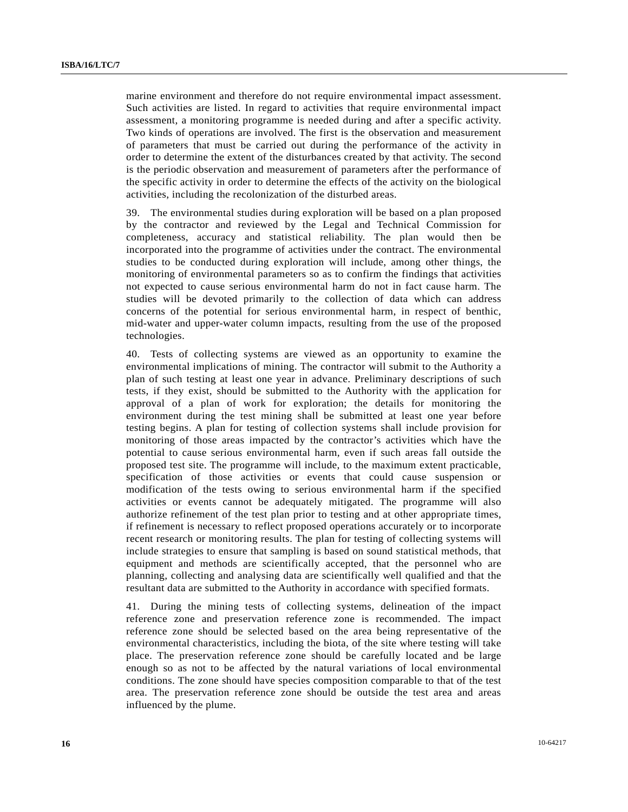marine environment and therefore do not require environmental impact assessment. Such activities are listed. In regard to activities that require environmental impact assessment, a monitoring programme is needed during and after a specific activity. Two kinds of operations are involved. The first is the observation and measurement of parameters that must be carried out during the performance of the activity in order to determine the extent of the disturbances created by that activity. The second is the periodic observation and measurement of parameters after the performance of the specific activity in order to determine the effects of the activity on the biological activities, including the recolonization of the disturbed areas.

39. The environmental studies during exploration will be based on a plan proposed by the contractor and reviewed by the Legal and Technical Commission for completeness, accuracy and statistical reliability. The plan would then be incorporated into the programme of activities under the contract. The environmental studies to be conducted during exploration will include, among other things, the monitoring of environmental parameters so as to confirm the findings that activities not expected to cause serious environmental harm do not in fact cause harm. The studies will be devoted primarily to the collection of data which can address concerns of the potential for serious environmental harm, in respect of benthic, mid-water and upper-water column impacts, resulting from the use of the proposed technologies.

40. Tests of collecting systems are viewed as an opportunity to examine the environmental implications of mining. The contractor will submit to the Authority a plan of such testing at least one year in advance. Preliminary descriptions of such tests, if they exist, should be submitted to the Authority with the application for approval of a plan of work for exploration; the details for monitoring the environment during the test mining shall be submitted at least one year before testing begins. A plan for testing of collection systems shall include provision for monitoring of those areas impacted by the contractor's activities which have the potential to cause serious environmental harm, even if such areas fall outside the proposed test site. The programme will include, to the maximum extent practicable, specification of those activities or events that could cause suspension or modification of the tests owing to serious environmental harm if the specified activities or events cannot be adequately mitigated. The programme will also authorize refinement of the test plan prior to testing and at other appropriate times, if refinement is necessary to reflect proposed operations accurately or to incorporate recent research or monitoring results. The plan for testing of collecting systems will include strategies to ensure that sampling is based on sound statistical methods, that equipment and methods are scientifically accepted, that the personnel who are planning, collecting and analysing data are scientifically well qualified and that the resultant data are submitted to the Authority in accordance with specified formats.

41. During the mining tests of collecting systems, delineation of the impact reference zone and preservation reference zone is recommended. The impact reference zone should be selected based on the area being representative of the environmental characteristics, including the biota, of the site where testing will take place. The preservation reference zone should be carefully located and be large enough so as not to be affected by the natural variations of local environmental conditions. The zone should have species composition comparable to that of the test area. The preservation reference zone should be outside the test area and areas influenced by the plume.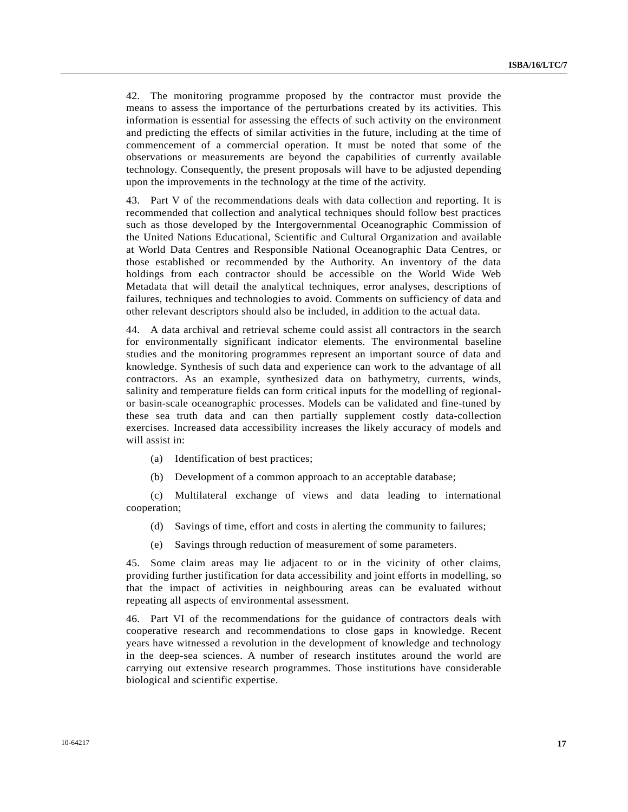42. The monitoring programme proposed by the contractor must provide the means to assess the importance of the perturbations created by its activities. This information is essential for assessing the effects of such activity on the environment and predicting the effects of similar activities in the future, including at the time of commencement of a commercial operation. It must be noted that some of the observations or measurements are beyond the capabilities of currently available technology. Consequently, the present proposals will have to be adjusted depending upon the improvements in the technology at the time of the activity.

43. Part V of the recommendations deals with data collection and reporting. It is recommended that collection and analytical techniques should follow best practices such as those developed by the Intergovernmental Oceanographic Commission of the United Nations Educational, Scientific and Cultural Organization and available at World Data Centres and Responsible National Oceanographic Data Centres, or those established or recommended by the Authority. An inventory of the data holdings from each contractor should be accessible on the World Wide Web Metadata that will detail the analytical techniques, error analyses, descriptions of failures, techniques and technologies to avoid. Comments on sufficiency of data and other relevant descriptors should also be included, in addition to the actual data.

44. A data archival and retrieval scheme could assist all contractors in the search for environmentally significant indicator elements. The environmental baseline studies and the monitoring programmes represent an important source of data and knowledge. Synthesis of such data and experience can work to the advantage of all contractors. As an example, synthesized data on bathymetry, currents, winds, salinity and temperature fields can form critical inputs for the modelling of regionalor basin-scale oceanographic processes. Models can be validated and fine-tuned by these sea truth data and can then partially supplement costly data-collection exercises. Increased data accessibility increases the likely accuracy of models and will assist in:

- (a) Identification of best practices;
- (b) Development of a common approach to an acceptable database;

 (c) Multilateral exchange of views and data leading to international cooperation;

- (d) Savings of time, effort and costs in alerting the community to failures;
- (e) Savings through reduction of measurement of some parameters.

45. Some claim areas may lie adjacent to or in the vicinity of other claims, providing further justification for data accessibility and joint efforts in modelling, so that the impact of activities in neighbouring areas can be evaluated without repeating all aspects of environmental assessment.

46. Part VI of the recommendations for the guidance of contractors deals with cooperative research and recommendations to close gaps in knowledge. Recent years have witnessed a revolution in the development of knowledge and technology in the deep-sea sciences. A number of research institutes around the world are carrying out extensive research programmes. Those institutions have considerable biological and scientific expertise.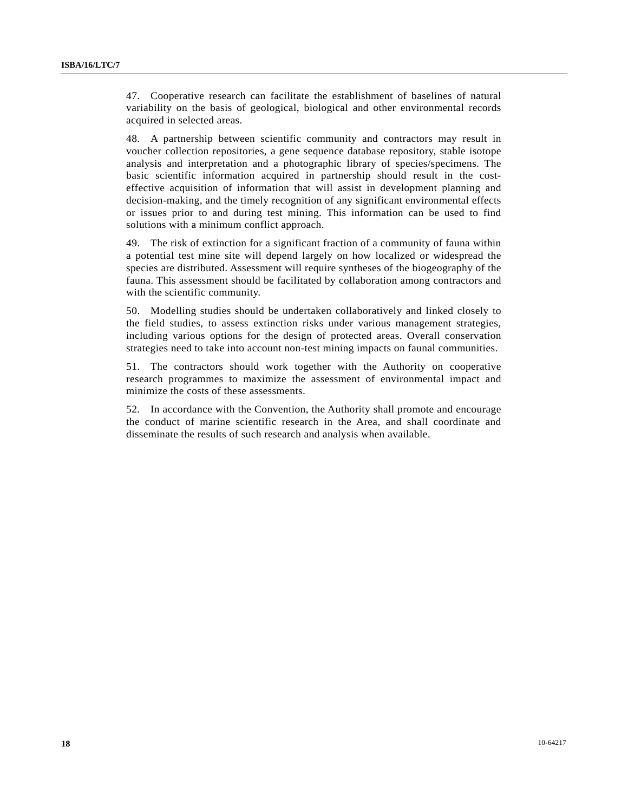47. Cooperative research can facilitate the establishment of baselines of natural variability on the basis of geological, biological and other environmental records acquired in selected areas.

48. A partnership between scientific community and contractors may result in voucher collection repositories, a gene sequence database repository, stable isotope analysis and interpretation and a photographic library of species/specimens. The basic scientific information acquired in partnership should result in the costeffective acquisition of information that will assist in development planning and decision-making, and the timely recognition of any significant environmental effects or issues prior to and during test mining. This information can be used to find solutions with a minimum conflict approach.

49. The risk of extinction for a significant fraction of a community of fauna within a potential test mine site will depend largely on how localized or widespread the species are distributed. Assessment will require syntheses of the biogeography of the fauna. This assessment should be facilitated by collaboration among contractors and with the scientific community.

50. Modelling studies should be undertaken collaboratively and linked closely to the field studies, to assess extinction risks under various management strategies, including various options for the design of protected areas. Overall conservation strategies need to take into account non-test mining impacts on faunal communities.

51. The contractors should work together with the Authority on cooperative research programmes to maximize the assessment of environmental impact and minimize the costs of these assessments.

52. In accordance with the Convention, the Authority shall promote and encourage the conduct of marine scientific research in the Area, and shall coordinate and disseminate the results of such research and analysis when available.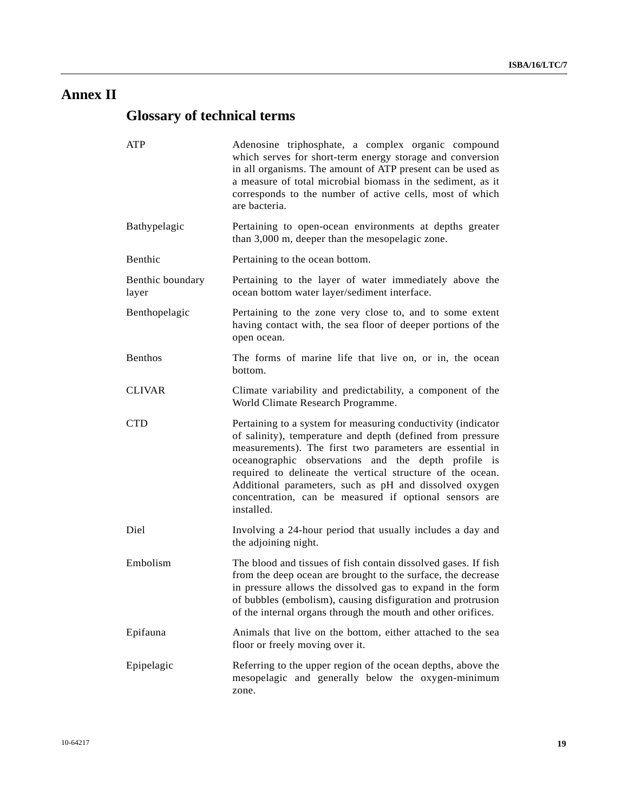## **Annex II**

# **Glossary of technical terms**

| <b>ATP</b>                | Adenosine triphosphate, a complex organic compound<br>which serves for short-term energy storage and conversion<br>in all organisms. The amount of ATP present can be used as<br>a measure of total microbial biomass in the sediment, as it<br>corresponds to the number of active cells, most of which<br>are bacteria.                                                                                                                     |
|---------------------------|-----------------------------------------------------------------------------------------------------------------------------------------------------------------------------------------------------------------------------------------------------------------------------------------------------------------------------------------------------------------------------------------------------------------------------------------------|
| Bathypelagic              | Pertaining to open-ocean environments at depths greater<br>than 3,000 m, deeper than the mesopelagic zone.                                                                                                                                                                                                                                                                                                                                    |
| Benthic                   | Pertaining to the ocean bottom.                                                                                                                                                                                                                                                                                                                                                                                                               |
| Benthic boundary<br>layer | Pertaining to the layer of water immediately above the<br>ocean bottom water layer/sediment interface.                                                                                                                                                                                                                                                                                                                                        |
| Benthopelagic             | Pertaining to the zone very close to, and to some extent<br>having contact with, the sea floor of deeper portions of the<br>open ocean.                                                                                                                                                                                                                                                                                                       |
| <b>Benthos</b>            | The forms of marine life that live on, or in, the ocean<br>bottom.                                                                                                                                                                                                                                                                                                                                                                            |
| <b>CLIVAR</b>             | Climate variability and predictability, a component of the<br>World Climate Research Programme.                                                                                                                                                                                                                                                                                                                                               |
| <b>CTD</b>                | Pertaining to a system for measuring conductivity (indicator<br>of salinity), temperature and depth (defined from pressure<br>measurements). The first two parameters are essential in<br>oceanographic observations and the depth profile is<br>required to delineate the vertical structure of the ocean.<br>Additional parameters, such as pH and dissolved oxygen<br>concentration, can be measured if optional sensors are<br>installed. |
| Diel                      | Involving a 24-hour period that usually includes a day and<br>the adjoining night.                                                                                                                                                                                                                                                                                                                                                            |
| Embolism                  | The blood and tissues of fish contain dissolved gases. If fish<br>from the deep ocean are brought to the surface, the decrease<br>in pressure allows the dissolved gas to expand in the form<br>of bubbles (embolism), causing disfiguration and protrusion<br>of the internal organs through the mouth and other orifices.                                                                                                                   |
| Epifauna                  | Animals that live on the bottom, either attached to the sea<br>floor or freely moving over it.                                                                                                                                                                                                                                                                                                                                                |
| Epipelagic                | Referring to the upper region of the ocean depths, above the<br>mesopelagic and generally below the oxygen-minimum<br>zone.                                                                                                                                                                                                                                                                                                                   |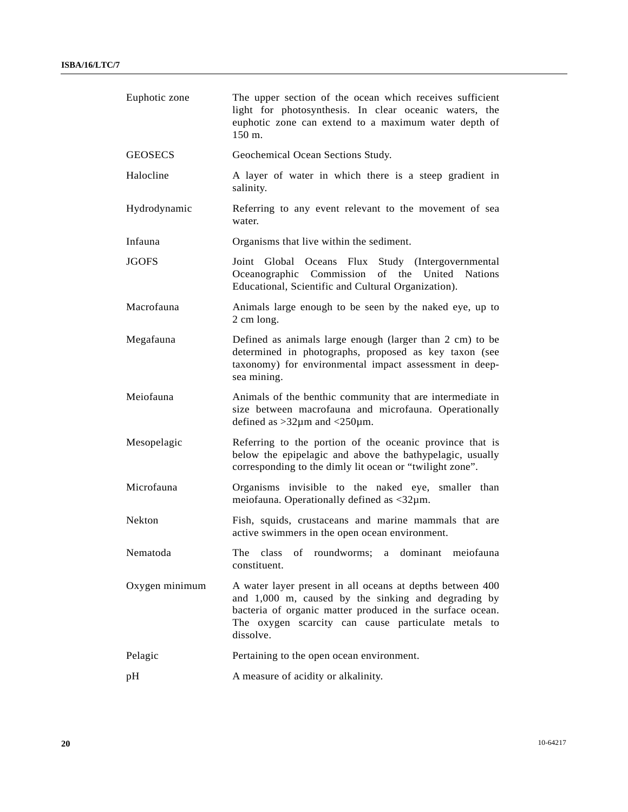| Euphotic zone  | The upper section of the ocean which receives sufficient<br>light for photosynthesis. In clear oceanic waters, the<br>euphotic zone can extend to a maximum water depth of<br>150 m.                                                              |
|----------------|---------------------------------------------------------------------------------------------------------------------------------------------------------------------------------------------------------------------------------------------------|
| <b>GEOSECS</b> | Geochemical Ocean Sections Study.                                                                                                                                                                                                                 |
| Halocline      | A layer of water in which there is a steep gradient in<br>salinity.                                                                                                                                                                               |
| Hydrodynamic   | Referring to any event relevant to the movement of sea<br>water.                                                                                                                                                                                  |
| Infauna        | Organisms that live within the sediment.                                                                                                                                                                                                          |
| <b>JGOFS</b>   | Joint Global Oceans Flux Study (Intergovernmental<br>Oceanographic Commission<br>of the United Nations<br>Educational, Scientific and Cultural Organization).                                                                                     |
| Macrofauna     | Animals large enough to be seen by the naked eye, up to<br>2 cm long.                                                                                                                                                                             |
| Megafauna      | Defined as animals large enough (larger than 2 cm) to be<br>determined in photographs, proposed as key taxon (see<br>taxonomy) for environmental impact assessment in deep-<br>sea mining.                                                        |
| Meiofauna      | Animals of the benthic community that are intermediate in<br>size between macrofauna and microfauna. Operationally<br>defined as $>32\mu$ m and $<250\mu$ m.                                                                                      |
| Mesopelagic    | Referring to the portion of the oceanic province that is<br>below the epipelagic and above the bathypelagic, usually<br>corresponding to the dimly lit ocean or "twilight zone".                                                                  |
| Microfauna     | Organisms invisible to the naked eye, smaller than<br>meiofauna. Operationally defined as $\langle 32 \mu m$ .                                                                                                                                    |
| <b>Nekton</b>  | Fish, squids, crustaceans and marine mammals that are<br>active swimmers in the open ocean environment.                                                                                                                                           |
| Nematoda       | The class of roundworms; a dominant meiofauna<br>constituent.                                                                                                                                                                                     |
| Oxygen minimum | A water layer present in all oceans at depths between 400<br>and 1,000 m, caused by the sinking and degrading by<br>bacteria of organic matter produced in the surface ocean.<br>The oxygen scarcity can cause particulate metals to<br>dissolve. |
| Pelagic        | Pertaining to the open ocean environment.                                                                                                                                                                                                         |
| pH             | A measure of acidity or alkalinity.                                                                                                                                                                                                               |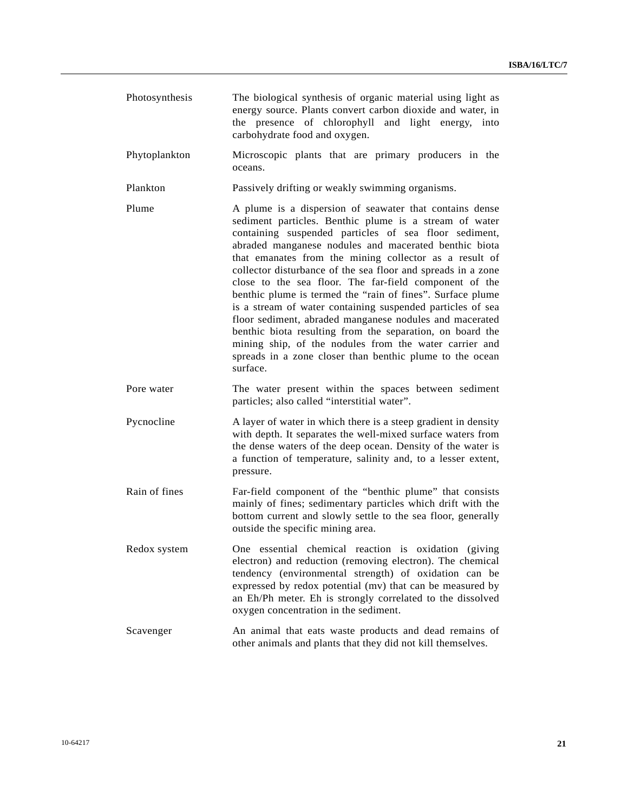- Photosynthesis The biological synthesis of organic material using light as energy source. Plants convert carbon dioxide and water, in the presence of chlorophyll and light energy, into carbohydrate food and oxygen.
- Phytoplankton Microscopic plants that are primary producers in the oceans.
- Plankton Passively drifting or weakly swimming organisms.
- Plume A plume is a dispersion of seawater that contains dense sediment particles. Benthic plume is a stream of water containing suspended particles of sea floor sediment, abraded manganese nodules and macerated benthic biota that emanates from the mining collector as a result of collector disturbance of the sea floor and spreads in a zone close to the sea floor. The far-field component of the benthic plume is termed the "rain of fines". Surface plume is a stream of water containing suspended particles of sea floor sediment, abraded manganese nodules and macerated benthic biota resulting from the separation, on board the mining ship, of the nodules from the water carrier and spreads in a zone closer than benthic plume to the ocean surface.
- Pore water The water present within the spaces between sediment particles; also called "interstitial water".
- Pycnocline A layer of water in which there is a steep gradient in density with depth. It separates the well-mixed surface waters from the dense waters of the deep ocean. Density of the water is a function of temperature, salinity and, to a lesser extent, pressure.
- Rain of fines Far-field component of the "benthic plume" that consists mainly of fines; sedimentary particles which drift with the bottom current and slowly settle to the sea floor, generally outside the specific mining area.
- Redox system One essential chemical reaction is oxidation (giving electron) and reduction (removing electron). The chemical tendency (environmental strength) of oxidation can be expressed by redox potential (mv) that can be measured by an Eh/Ph meter. Eh is strongly correlated to the dissolved oxygen concentration in the sediment.
- Scavenger An animal that eats waste products and dead remains of other animals and plants that they did not kill themselves.